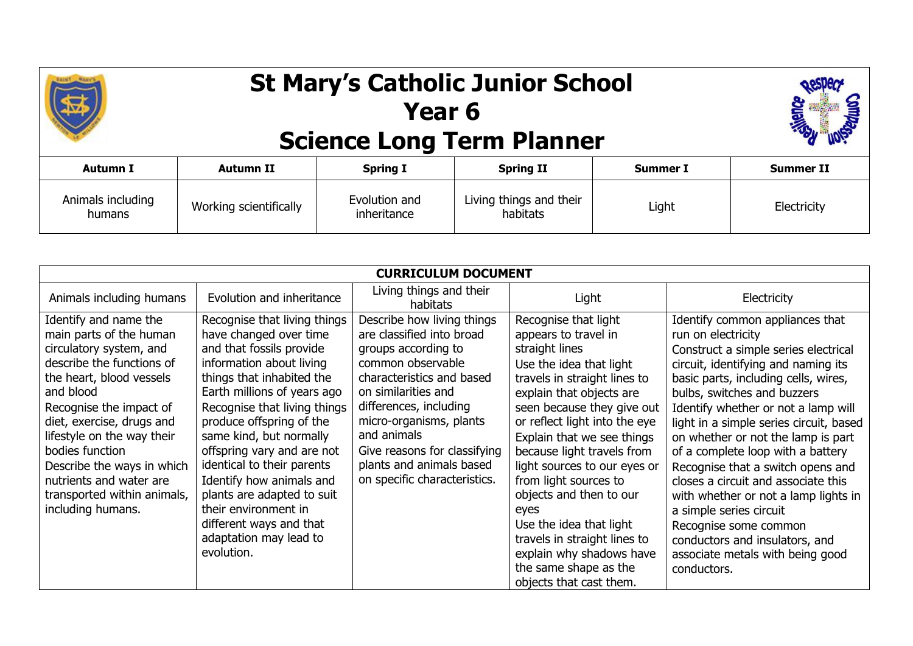

## **St Mary's Catholic Junior School Year 6 Science Long Term Planner**



| <b>Autumn I</b>             | Autumn II              | <b>Spring I</b>              | <b>Spring II</b>                    | <b>Summer I</b> | Summer II   |
|-----------------------------|------------------------|------------------------------|-------------------------------------|-----------------|-------------|
| Animals including<br>humans | Working scientifically | Evolution and<br>inheritance | Living things and their<br>habitats | Light           | Electricity |

| <b>CURRICULUM DOCUMENT</b>  |                              |                                     |                               |                                         |
|-----------------------------|------------------------------|-------------------------------------|-------------------------------|-----------------------------------------|
| Animals including humans    | Evolution and inheritance    | Living things and their<br>habitats | Light                         | Electricity                             |
| Identify and name the       | Recognise that living things | Describe how living things          | Recognise that light          | Identify common appliances that         |
| main parts of the human     | have changed over time       | are classified into broad           | appears to travel in          | run on electricity                      |
| circulatory system, and     | and that fossils provide     | groups according to                 | straight lines                | Construct a simple series electrical    |
| describe the functions of   | information about living     | common observable                   | Use the idea that light       | circuit, identifying and naming its     |
| the heart, blood vessels    | things that inhabited the    | characteristics and based           | travels in straight lines to  | basic parts, including cells, wires,    |
| and blood                   | Earth millions of years ago  | on similarities and                 | explain that objects are      | bulbs, switches and buzzers             |
| Recognise the impact of     | Recognise that living things | differences, including              | seen because they give out    | Identify whether or not a lamp will     |
| diet, exercise, drugs and   | produce offspring of the     | micro-organisms, plants             | or reflect light into the eye | light in a simple series circuit, based |
| lifestyle on the way their  | same kind, but normally      | and animals                         | Explain that we see things    | on whether or not the lamp is part      |
| bodies function             | offspring vary and are not   | Give reasons for classifying        | because light travels from    | of a complete loop with a battery       |
| Describe the ways in which  | identical to their parents   | plants and animals based            | light sources to our eyes or  | Recognise that a switch opens and       |
| nutrients and water are     | Identify how animals and     | on specific characteristics.        | from light sources to         | closes a circuit and associate this     |
| transported within animals, | plants are adapted to suit   |                                     | objects and then to our       | with whether or not a lamp lights in    |
| including humans.           | their environment in         |                                     | eyes                          | a simple series circuit                 |
|                             | different ways and that      |                                     | Use the idea that light       | Recognise some common                   |
|                             | adaptation may lead to       |                                     | travels in straight lines to  | conductors and insulators, and          |
|                             | evolution.                   |                                     | explain why shadows have      | associate metals with being good        |
|                             |                              |                                     | the same shape as the         | conductors.                             |
|                             |                              |                                     | objects that cast them.       |                                         |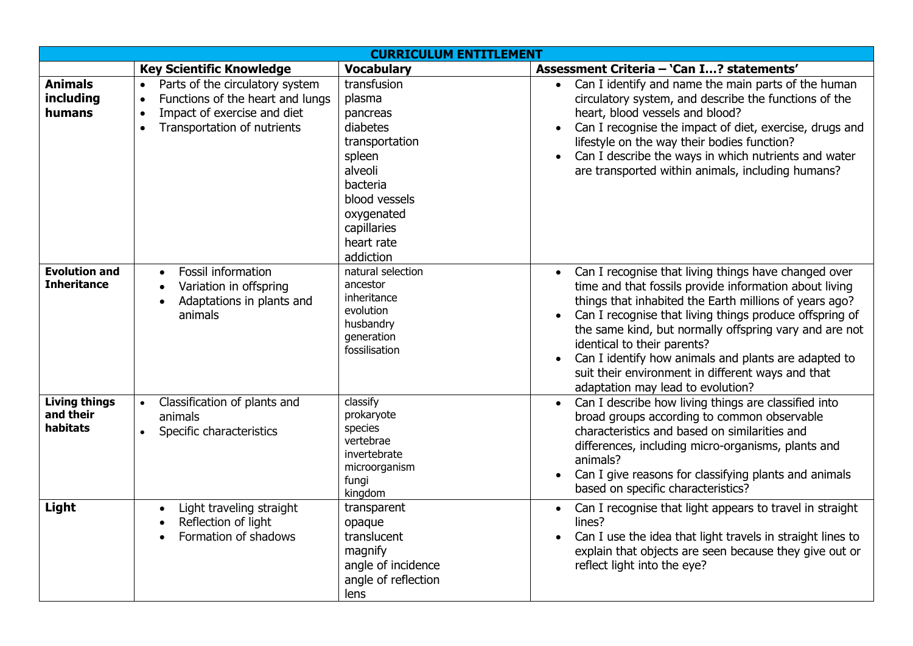| <b>CURRICULUM ENTITLEMENT</b>                 |                                                                                                                                                                          |                                                                                                                                                                           |                                                                                                                                                                                                                                                                                                                                                                                                                                                                                                                       |  |
|-----------------------------------------------|--------------------------------------------------------------------------------------------------------------------------------------------------------------------------|---------------------------------------------------------------------------------------------------------------------------------------------------------------------------|-----------------------------------------------------------------------------------------------------------------------------------------------------------------------------------------------------------------------------------------------------------------------------------------------------------------------------------------------------------------------------------------------------------------------------------------------------------------------------------------------------------------------|--|
|                                               | <b>Key Scientific Knowledge</b>                                                                                                                                          | <b>Vocabulary</b>                                                                                                                                                         | Assessment Criteria - 'Can I? statements'                                                                                                                                                                                                                                                                                                                                                                                                                                                                             |  |
| <b>Animals</b><br>including<br>humans         | Parts of the circulatory system<br>$\bullet$<br>Functions of the heart and lungs<br>$\bullet$<br>Impact of exercise and diet<br>$\bullet$<br>Transportation of nutrients | transfusion<br>plasma<br>pancreas<br>diabetes<br>transportation<br>spleen<br>alveoli<br>bacteria<br>blood vessels<br>oxygenated<br>capillaries<br>heart rate<br>addiction | Can I identify and name the main parts of the human<br>$\bullet$<br>circulatory system, and describe the functions of the<br>heart, blood vessels and blood?<br>Can I recognise the impact of diet, exercise, drugs and<br>$\bullet$<br>lifestyle on the way their bodies function?<br>Can I describe the ways in which nutrients and water<br>$\bullet$<br>are transported within animals, including humans?                                                                                                         |  |
| <b>Evolution and</b><br><b>Inheritance</b>    | <b>Fossil information</b><br>$\bullet$<br>Variation in offspring<br>Adaptations in plants and<br>$\bullet$<br>animals                                                    | natural selection<br>ancestor<br>inheritance<br>evolution<br>husbandry<br>generation<br>fossilisation                                                                     | Can I recognise that living things have changed over<br>$\bullet$<br>time and that fossils provide information about living<br>things that inhabited the Earth millions of years ago?<br>Can I recognise that living things produce offspring of<br>$\bullet$<br>the same kind, but normally offspring vary and are not<br>identical to their parents?<br>Can I identify how animals and plants are adapted to<br>$\bullet$<br>suit their environment in different ways and that<br>adaptation may lead to evolution? |  |
| <b>Living things</b><br>and their<br>habitats | Classification of plants and<br>animals<br>Specific characteristics<br>$\bullet$                                                                                         | classify<br>prokaryote<br>species<br>vertebrae<br>invertebrate<br>microorganism<br>fungi<br>kingdom                                                                       | Can I describe how living things are classified into<br>$\bullet$<br>broad groups according to common observable<br>characteristics and based on similarities and<br>differences, including micro-organisms, plants and<br>animals?<br>Can I give reasons for classifying plants and animals<br>based on specific characteristics?                                                                                                                                                                                    |  |
| Light                                         | Light traveling straight<br>$\bullet$<br>Reflection of light<br>Formation of shadows                                                                                     | transparent<br>opaque<br>translucent<br>magnify<br>angle of incidence<br>angle of reflection<br>lens                                                                      | Can I recognise that light appears to travel in straight<br>$\bullet$<br>lines?<br>Can I use the idea that light travels in straight lines to<br>$\bullet$<br>explain that objects are seen because they give out or<br>reflect light into the eye?                                                                                                                                                                                                                                                                   |  |